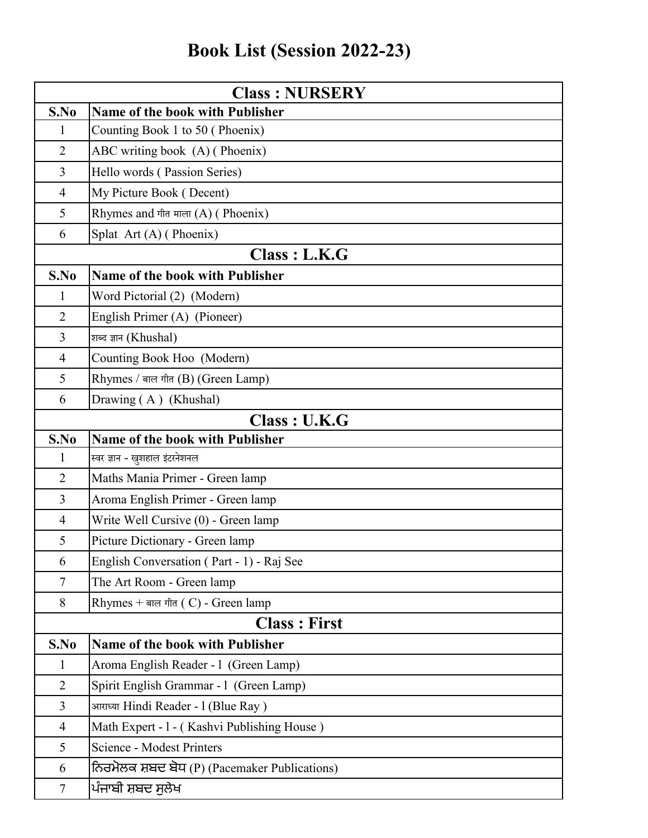## **Book List (Session 2022-23)**

| <b>Class: NURSERY</b> |                                               |
|-----------------------|-----------------------------------------------|
| S.No                  | <b>Name of the book with Publisher</b>        |
| 1                     | Counting Book 1 to 50 (Phoenix)               |
| $\overline{2}$        | ABC writing book (A) (Phoenix)                |
| $\overline{3}$        | Hello words (Passion Series)                  |
| $\overline{4}$        | My Picture Book (Decent)                      |
| 5                     | Rhymes and गीत माला $(A)$ (Phoenix)           |
| 6                     | Splat Art (A) (Phoenix)                       |
|                       | Class : L.K.G                                 |
| S.No                  | <b>Name of the book with Publisher</b>        |
| $\mathbf{1}$          | Word Pictorial (2) (Modern)                   |
| $\overline{2}$        | English Primer (A) (Pioneer)                  |
| 3                     | शब्द ज्ञान (Khushal)                          |
| $\overline{4}$        | Counting Book Hoo (Modern)                    |
| 5                     | Rhymes / बाल गीत (B) (Green Lamp)             |
| 6                     | Drawing (A) (Khushal)                         |
|                       | Class : U.K.G                                 |
| S.No                  | Name of the book with Publisher               |
| $\mathbf{1}$          | स्वर ज्ञान - खुशहाल इंटरनेशनल                 |
| $\overline{2}$        | Maths Mania Primer - Green lamp               |
| $\overline{3}$        | Aroma English Primer - Green lamp             |
| $\overline{4}$        | Write Well Cursive (0) - Green lamp           |
| 5                     | Picture Dictionary - Green lamp               |
| 6                     | English Conversation (Part - 1) - Raj See     |
| $\tau$                | The Art Room - Green lamp                     |
| 8                     | Rhymes + बाल गीत (C) - Green lamp             |
|                       | <b>Class: First</b>                           |
| S.No                  | Name of the book with Publisher               |
| $\mathbf{1}$          | Aroma English Reader - 1 (Green Lamp)         |
| $\overline{2}$        | Spirit English Grammar - 1 (Green Lamp)       |
| $\overline{3}$        | आराध्या Hindi Reader - 1 (Blue Ray)           |
| $\overline{4}$        | Math Expert - 1 - (Kashvi Publishing House)   |
| 5                     | <b>Science - Modest Printers</b>              |
| 6                     | ਨਿਰਮੋਲਕ ਸ਼ਬਦ ਬੋਧ (P) (Pacemaker Publications) |
| $\tau$                | ਪੰਜਾਬੀ ਸ਼ਬਦ ਸੁਲੇਖ                             |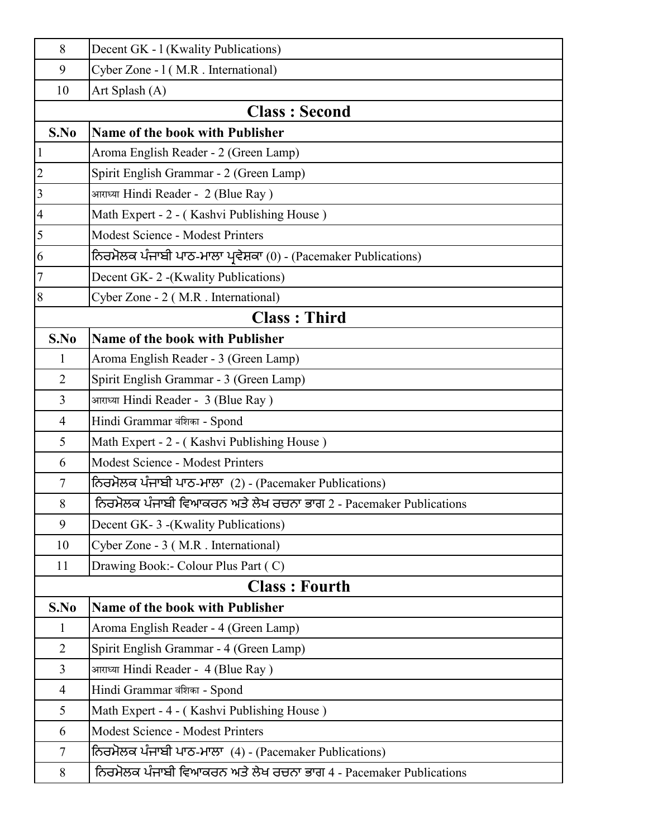| 8              | Decent GK - 1 (Kwality Publications)                              |
|----------------|-------------------------------------------------------------------|
| 9              | Cyber Zone - 1 (M.R. International)                               |
| 10             | Art Splash (A)                                                    |
|                | <b>Class: Second</b>                                              |
| S.No           | <b>Name of the book with Publisher</b>                            |
| $\mathbf{1}$   | Aroma English Reader - 2 (Green Lamp)                             |
| $\overline{c}$ | Spirit English Grammar - 2 (Green Lamp)                           |
| $\overline{3}$ | आराध्या Hindi Reader - 2 (Blue Ray)                               |
| $\overline{4}$ | Math Expert - 2 - (Kashvi Publishing House)                       |
| 5              | <b>Modest Science - Modest Printers</b>                           |
| 6              | ਨਿਰਮੋਲਕ ਪੰਜਾਬੀ ਪਾਠ-ਮਾਲਾ ਪ੍ਰਵੇਸ਼ਕਾ (0) - (Pacemaker Publications)  |
| $\overline{7}$ | Decent GK-2 - (Kwality Publications)                              |
| 8              | Cyber Zone - 2 (M.R. International)                               |
|                | <b>Class: Third</b>                                               |
| S.No           | <b>Name of the book with Publisher</b>                            |
| $\mathbf{1}$   | Aroma English Reader - 3 (Green Lamp)                             |
| 2              | Spirit English Grammar - 3 (Green Lamp)                           |
| $\overline{3}$ | आराध्या Hindi Reader - 3 (Blue Ray)                               |
| $\overline{4}$ | Hindi Grammar वंशिका - Spond                                      |
| 5              | Math Expert - 2 - (Kashvi Publishing House)                       |
| 6              | <b>Modest Science - Modest Printers</b>                           |
| $\tau$         | ਨਿਰਮੋਲਕ ਪੰਜਾਬੀ ਪਾਠ-ਮਾਲਾ (2) - (Pacemaker Publications)            |
| 8              | ਨਿਰਮੋਲਕ ਪੰਜਾਬੀ ਵਿਆਕਰਨ ਅਤੇ ਲੇਖ ਰਚਨਾ ਭਾਗ 2 - Pacemaker Publications |
| 9              | Decent GK-3 - (Kwality Publications)                              |
| 10             | Cyber Zone - 3 (M.R. International)                               |
| 11             | Drawing Book:- Colour Plus Part (C)                               |
|                | <b>Class: Fourth</b>                                              |
| S.No           | <b>Name of the book with Publisher</b>                            |
| 1              | Aroma English Reader - 4 (Green Lamp)                             |
| $\overline{2}$ | Spirit English Grammar - 4 (Green Lamp)                           |
| $\overline{3}$ | आराध्या Hindi Reader - 4 (Blue Ray)                               |
| $\overline{4}$ | Hindi Grammar वंशिका - Spond                                      |
| 5              | Math Expert - 4 - (Kashvi Publishing House)                       |
| 6              | <b>Modest Science - Modest Printers</b>                           |
| $\tau$         | ਨਿਰਮੋਲਕ ਪੰਜਾਬੀ ਪਾਠ-ਮਾਲਾ (4) - (Pacemaker Publications)            |
| 8              | ਨਿਰਮੋਲਕ ਪੰਜਾਬੀ ਵਿਆਕਰਨ ਅਤੇ ਲੇਖ ਰਚਨਾ ਭਾਗ 4 - Pacemaker Publications |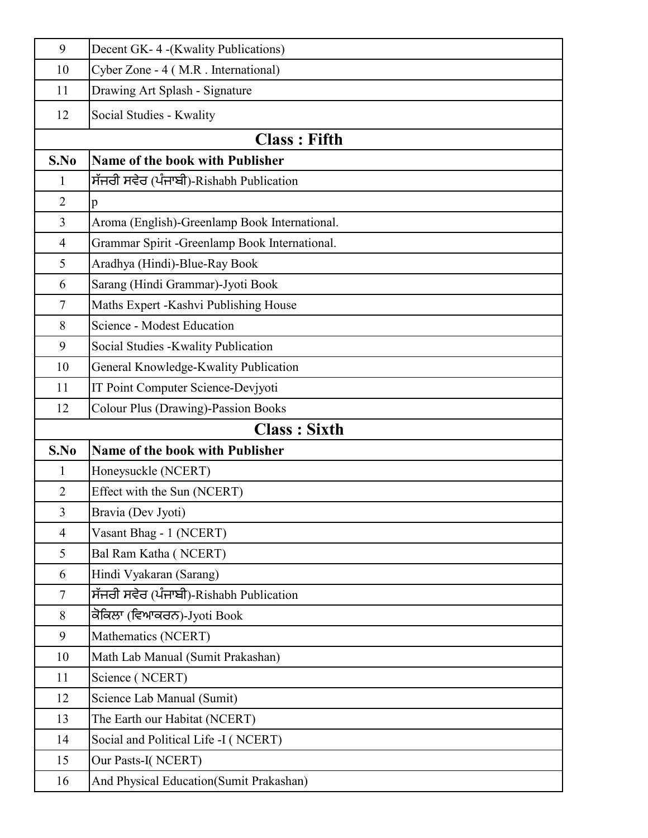| 9              | Decent GK-4-(Kwality Publications)             |
|----------------|------------------------------------------------|
| 10             | Cyber Zone - 4 (M.R. International)            |
| 11             | Drawing Art Splash - Signature                 |
| 12             | Social Studies - Kwality                       |
|                | <b>Class: Fifth</b>                            |
| S.No           | <b>Name of the book with Publisher</b>         |
| $\mathbf{1}$   | ,ਸੱਜਰੀ ਸਵੇਰ (ਪੰਜਾਬੀ)-Rishabh Publication       |
| $\overline{2}$ | p                                              |
| $\overline{3}$ | Aroma (English)-Greenlamp Book International.  |
| $\overline{4}$ | Grammar Spirit - Greenlamp Book International. |
| 5              | Aradhya (Hindi)-Blue-Ray Book                  |
| 6              | Sarang (Hindi Grammar)-Jyoti Book              |
| $\overline{7}$ | Maths Expert -Kashvi Publishing House          |
| 8              | <b>Science - Modest Education</b>              |
| 9              | Social Studies - Kwality Publication           |
| 10             | General Knowledge-Kwality Publication          |
| 11             | IT Point Computer Science-Devjyoti             |
| 12             | <b>Colour Plus (Drawing)-Passion Books</b>     |
|                | <b>Class: Sixth</b>                            |
| S.No           | <b>Name of the book with Publisher</b>         |
| $\mathbf{1}$   | Honeysuckle (NCERT)                            |
| $\overline{2}$ | Effect with the Sun (NCERT)                    |
| $\overline{3}$ | Bravia (Dev Jyoti)                             |
| $\overline{4}$ | Vasant Bhag - 1 (NCERT)                        |
| 5              | Bal Ram Katha (NCERT)                          |
| 6              | Hindi Vyakaran (Sarang)                        |
| $\tau$         | ਸੱਜਰੀ ਸਵੇਰ (ਪੰਜਾਬੀ)-Rishabh Publication        |
| 8              | ਕੋਕਿਲਾ (ਵਿਆਕਰਨ)-Jyoti Book                     |
| 9              | Mathematics (NCERT)                            |
| 10             | Math Lab Manual (Sumit Prakashan)              |
| 11             | Science (NCERT)                                |
| 12             | Science Lab Manual (Sumit)                     |
|                |                                                |
| 13             | The Earth our Habitat (NCERT)                  |
| 14             | Social and Political Life -I (NCERT)           |
| 15             | Our Pasts-I(NCERT)                             |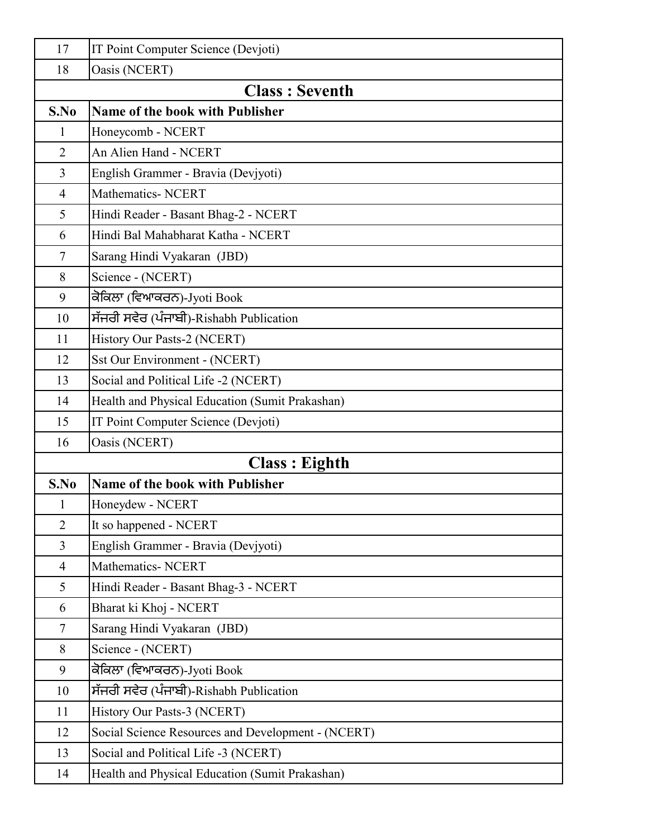| 17             | IT Point Computer Science (Devjoti)                |
|----------------|----------------------------------------------------|
| 18             | Oasis (NCERT)                                      |
|                | <b>Class: Seventh</b>                              |
| S.No           | Name of the book with Publisher                    |
| $\mathbf{1}$   | Honeycomb - NCERT                                  |
| $\overline{2}$ | An Alien Hand - NCERT                              |
| $\overline{3}$ | English Grammer - Bravia (Devjyoti)                |
| $\overline{4}$ | <b>Mathematics- NCERT</b>                          |
| 5              | Hindi Reader - Basant Bhag-2 - NCERT               |
| 6              | Hindi Bal Mahabharat Katha - NCERT                 |
| 7              | Sarang Hindi Vyakaran (JBD)                        |
| 8              | Science - (NCERT)                                  |
| 9              | ਕੋਕਿਲਾ (ਵਿਆਕਰਨ)-Jyoti Book                         |
| 10             | ਸੱਜਰੀ ਸਵੇਰ (ਪੰਜਾਬੀ)-Rishabh Publication            |
| 11             | History Our Pasts-2 (NCERT)                        |
| 12             | <b>Sst Our Environment - (NCERT)</b>               |
| 13             | Social and Political Life -2 (NCERT)               |
| 14             | Health and Physical Education (Sumit Prakashan)    |
| 15             | IT Point Computer Science (Devjoti)                |
| 16             | Oasis (NCERT)                                      |
|                | <b>Class: Eighth</b>                               |
| S.No           | <b>Name of the book with Publisher</b>             |
| $\mathbf{1}$   | Honeydew - NCERT                                   |
| $\overline{2}$ | It so happened - NCERT                             |
| 3              | English Grammer - Bravia (Devjyoti)                |
| $\overline{4}$ | Mathematics-NCERT                                  |
| 5              | Hindi Reader - Basant Bhag-3 - NCERT               |
| 6              | Bharat ki Khoj - NCERT                             |
| $\tau$         | Sarang Hindi Vyakaran (JBD)                        |
| 8              | Science - (NCERT)                                  |
| 9              | ਕੋਕਿਲਾ (ਵਿਆਕਰਨ)-Jyoti Book                         |
| 10             | ਸੱਜਰੀ ਸਵੇਰ (ਪੰਜਾਬੀ)-Rishabh Publication            |
| 11             | History Our Pasts-3 (NCERT)                        |
| 12             | Social Science Resources and Development - (NCERT) |
| 13             | Social and Political Life -3 (NCERT)               |
| 14             | Health and Physical Education (Sumit Prakashan)    |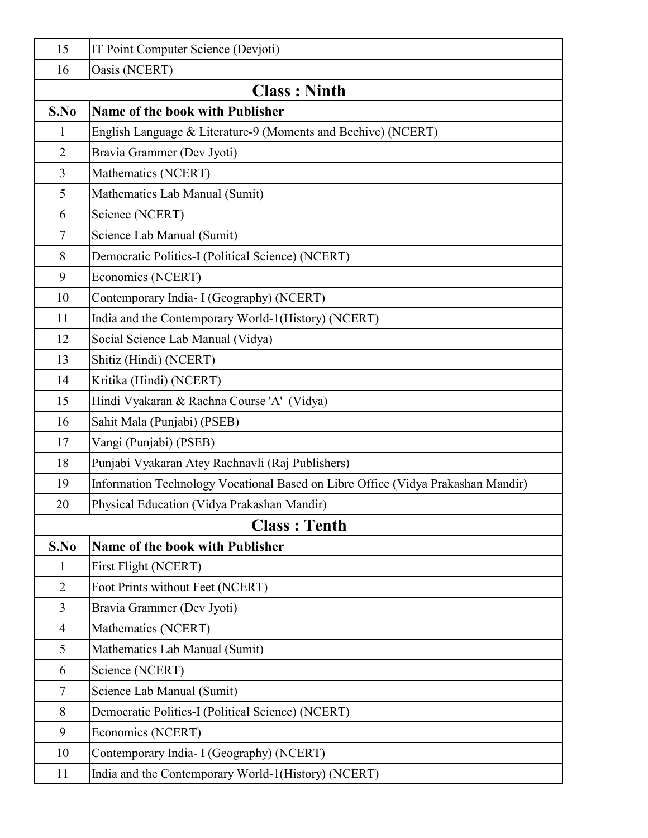| 15                  | IT Point Computer Science (Devjoti)                                              |  |
|---------------------|----------------------------------------------------------------------------------|--|
| 16                  | Oasis (NCERT)                                                                    |  |
| <b>Class: Ninth</b> |                                                                                  |  |
| S.No                | Name of the book with Publisher                                                  |  |
| $\mathbf{1}$        | English Language & Literature-9 (Moments and Beehive) (NCERT)                    |  |
| $\overline{2}$      | Bravia Grammer (Dev Jyoti)                                                       |  |
| $\overline{3}$      | Mathematics (NCERT)                                                              |  |
| 5                   | Mathematics Lab Manual (Sumit)                                                   |  |
| 6                   | Science (NCERT)                                                                  |  |
| $\tau$              | Science Lab Manual (Sumit)                                                       |  |
| 8                   | Democratic Politics-I (Political Science) (NCERT)                                |  |
| 9                   | Economics (NCERT)                                                                |  |
| 10                  | Contemporary India- I (Geography) (NCERT)                                        |  |
| 11                  | India and the Contemporary World-1(History) (NCERT)                              |  |
| 12                  | Social Science Lab Manual (Vidya)                                                |  |
| 13                  | Shitiz (Hindi) (NCERT)                                                           |  |
| 14                  | Kritika (Hindi) (NCERT)                                                          |  |
| 15                  | Hindi Vyakaran & Rachna Course 'A' (Vidya)                                       |  |
| 16                  | Sahit Mala (Punjabi) (PSEB)                                                      |  |
| 17                  | Vangi (Punjabi) (PSEB)                                                           |  |
| 18                  | Punjabi Vyakaran Atey Rachnavli (Raj Publishers)                                 |  |
| 19                  | Information Technology Vocational Based on Libre Office (Vidya Prakashan Mandir) |  |
| 20                  | Physical Education (Vidya Prakashan Mandir)                                      |  |
|                     | <b>Class: Tenth</b>                                                              |  |
| S.No                | Name of the book with Publisher                                                  |  |
| $\mathbf{1}$        | First Flight (NCERT)                                                             |  |
| $\overline{2}$      | Foot Prints without Feet (NCERT)                                                 |  |
| $\overline{3}$      | Bravia Grammer (Dev Jyoti)                                                       |  |
| $\overline{4}$      | Mathematics (NCERT)                                                              |  |
| 5                   | Mathematics Lab Manual (Sumit)                                                   |  |
| 6                   | Science (NCERT)                                                                  |  |
| $\tau$              | Science Lab Manual (Sumit)                                                       |  |
| 8                   | Democratic Politics-I (Political Science) (NCERT)                                |  |
| 9                   | Economics (NCERT)                                                                |  |
| 10                  | Contemporary India- I (Geography) (NCERT)                                        |  |
| 11                  | India and the Contemporary World-1(History) (NCERT)                              |  |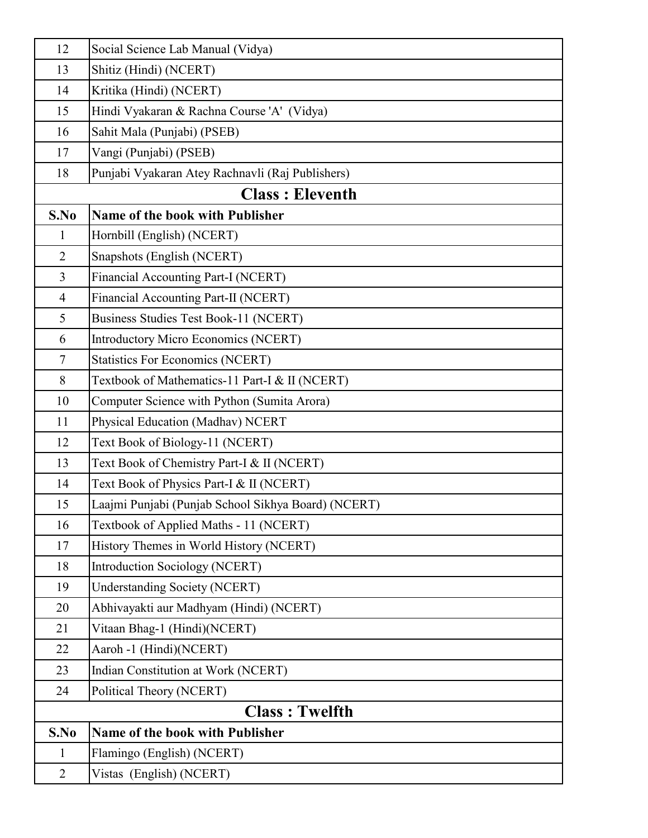| 12                    | Social Science Lab Manual (Vidya)                   |
|-----------------------|-----------------------------------------------------|
| 13                    | Shitiz (Hindi) (NCERT)                              |
| 14                    | Kritika (Hindi) (NCERT)                             |
| 15                    | Hindi Vyakaran & Rachna Course 'A' (Vidya)          |
| 16                    | Sahit Mala (Punjabi) (PSEB)                         |
| 17                    | Vangi (Punjabi) (PSEB)                              |
| 18                    | Punjabi Vyakaran Atey Rachnavli (Raj Publishers)    |
|                       | <b>Class: Eleventh</b>                              |
| S.No                  | Name of the book with Publisher                     |
| $\mathbf{1}$          | Hornbill (English) (NCERT)                          |
| $\overline{2}$        | Snapshots (English (NCERT)                          |
| $\overline{3}$        | Financial Accounting Part-I (NCERT)                 |
| $\overline{4}$        | Financial Accounting Part-II (NCERT)                |
| 5                     | Business Studies Test Book-11 (NCERT)               |
| 6                     | Introductory Micro Economics (NCERT)                |
| $\tau$                | <b>Statistics For Economics (NCERT)</b>             |
| 8                     | Textbook of Mathematics-11 Part-I & II (NCERT)      |
| 10                    | Computer Science with Python (Sumita Arora)         |
| 11                    | Physical Education (Madhav) NCERT                   |
| 12                    | Text Book of Biology-11 (NCERT)                     |
| 13                    | Text Book of Chemistry Part-I & II (NCERT)          |
| 14                    | Text Book of Physics Part-I & II (NCERT)            |
| 15                    | Laajmi Punjabi (Punjab School Sikhya Board) (NCERT) |
| 16                    | Textbook of Applied Maths - 11 (NCERT)              |
| 17                    | History Themes in World History (NCERT)             |
| 18                    | <b>Introduction Sociology (NCERT)</b>               |
| 19                    | Understanding Society (NCERT)                       |
| 20                    | Abhivayakti aur Madhyam (Hindi) (NCERT)             |
| 21                    | Vitaan Bhag-1 (Hindi)(NCERT)                        |
| 22                    | Aaroh -1 (Hindi)(NCERT)                             |
| 23                    | Indian Constitution at Work (NCERT)                 |
| 24                    | Political Theory (NCERT)                            |
| <b>Class: Twelfth</b> |                                                     |
| S.No                  | <b>Name of the book with Publisher</b>              |
| $\mathbf 1$           | Flamingo (English) (NCERT)                          |
| $\overline{2}$        | Vistas (English) (NCERT)                            |